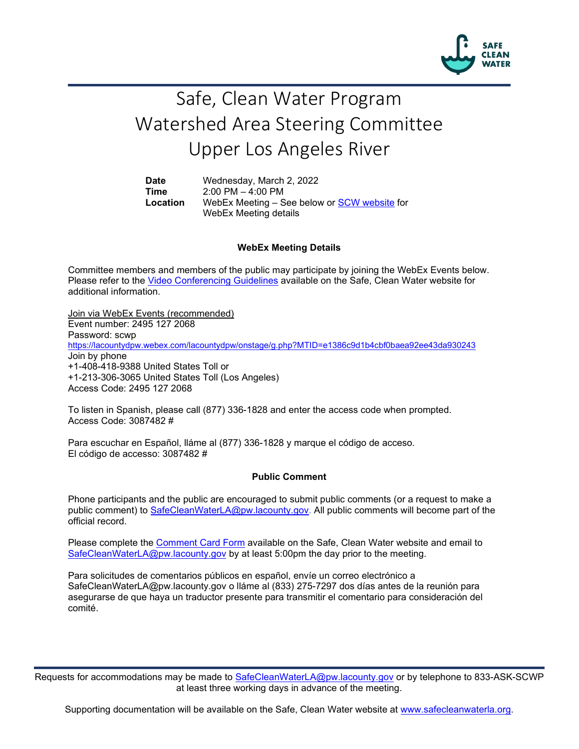

## Safe, Clean Water Program Watershed Area Steering Committee Upper Los Angeles River

**Date** Wednesday, March 2, 2022 **Time** 2:00 PM – 4:00 PM<br>**Location** WebEx Meeting – S WebEx Meeting – See below or [SCW website](https://safecleanwaterla.org/upper-los-angeles-river-watershed-area/) for WebEx Meeting details

## **WebEx Meeting Details**

Committee members and members of the public may participate by joining the WebEx Events below. Please refer to the [Video Conferencing Guidelines](https://safecleanwaterla.org/video-conference-guidelines/) available on the Safe, Clean Water website for additional information.

Join via WebEx Events (recommended) Event number: 2495 127 2068 Password: scwp <https://lacountydpw.webex.com/lacountydpw/onstage/g.php?MTID=e1386c9d1b4cbf0baea92ee43da930243> Join by phone +1-408-418-9388 United States Toll or +1-213-306-3065 United States Toll (Los Angeles) Access Code: 2495 127 2068

To listen in Spanish, please call (877) 336-1828 and enter the access code when prompted. Access Code: 3087482 #

Para escuchar en Español, lláme al (877) 336-1828 y marque el código de acceso. El código de accesso: 3087482 #

## **Public Comment**

Phone participants and the public are encouraged to submit public comments (or a request to make a public comment) to [SafeCleanWaterLA@pw.lacounty.gov.](mailto:SafeCleanWaterLA@pw.lacounty.gov) All public comments will become part of the official record.

Please complete the Comment [Card Form](https://safecleanwaterla.org/video-conference-guidelines/) available on the Safe, Clean Water website and email to [SafeCleanWaterLA@pw.lacounty.gov](mailto:SafeCleanWaterLA@pw.lacounty.gov) by at least 5:00pm the day prior to the meeting.

Para solicitudes de comentarios públicos en español, envíe un correo electrónico a SafeCleanWaterLA@pw.lacounty.gov o lláme al (833) 275-7297 dos días antes de la reunión para asegurarse de que haya un traductor presente para transmitir el comentario para consideración del comité.

Requests for accommodations may be made to [SafeCleanWaterLA@pw.lacounty.gov](mailto:SafeCleanWaterLA@pw.lacounty.gov) or by telephone to 833-ASK-SCWP at least three working days in advance of the meeting.